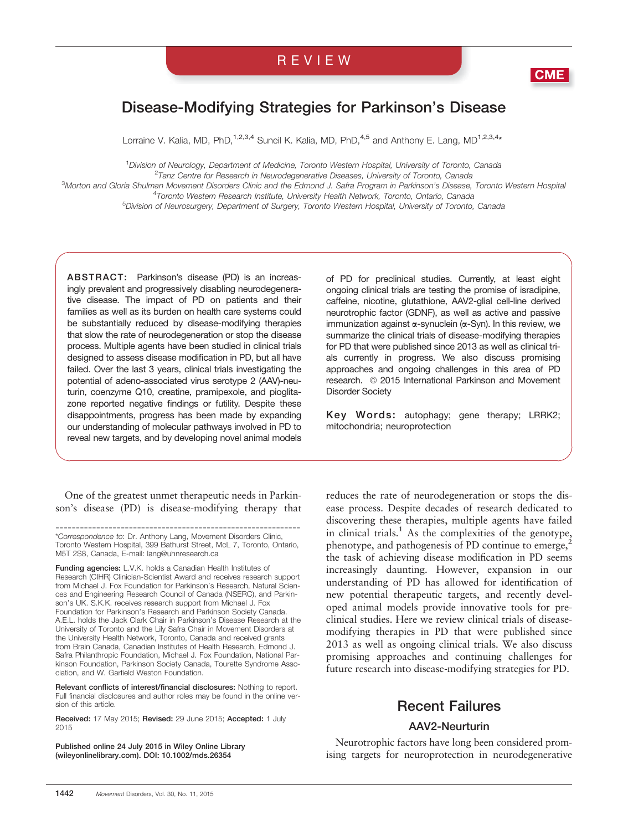# REVIEW



# Disease-Modifying Strategies for Parkinson's Disease

Lorraine V. Kalia, MD, PhD,<sup>1,2,3,4</sup> Suneil K. Kalia, MD, PhD,<sup>4,5</sup> and Anthony E. Lang, MD<sup>1,2,3,4\*</sup>

1 Division of Neurology, Department of Medicine, Toronto Western Hospital, University of Toronto, Canada <sup>2</sup>Tanz Centre for Research in Neurodegenerative Diseases, University of Toronto, Canada

3 Morton and Gloria Shulman Movement Disorders Clinic and the Edmond J. Safra Program in Parkinson's Disease, Toronto Western Hospital <sup>4</sup> Toronto Western Research Institute, University Health Network, Toronto, Ontario, Canada<br><sup>5</sup> Division of Neurosurgeny, Department of Surgeny, Toronto Western Hospital, University of Toronto

<sup>5</sup>Division of Neurosurgery, Department of Surgery, Toronto Western Hospital, University of Toronto, Canada

ABSTRACT: Parkinson's disease (PD) is an increasingly prevalent and progressively disabling neurodegenerative disease. The impact of PD on patients and their families as well as its burden on health care systems could be substantially reduced by disease-modifying therapies that slow the rate of neurodegeneration or stop the disease process. Multiple agents have been studied in clinical trials designed to assess disease modification in PD, but all have failed. Over the last 3 years, clinical trials investigating the potential of adeno-associated virus serotype 2 (AAV)-neuturin, coenzyme Q10, creatine, pramipexole, and pioglitazone reported negative findings or futility. Despite these disappointments, progress has been made by expanding our understanding of molecular pathways involved in PD to reveal new targets, and by developing novel animal models

One of the greatest unmet therapeutic needs in Parkinson's disease (PD) is disease-modifying therapy that

------------------------------------------------------------ \*Correspondence to: Dr. Anthony Lang, Movement Disorders Clinic, Toronto Western Hospital, 399 Bathurst Street, McL 7, Toronto, Ontario, M5T 2S8, Canada, E-mail: lang@uhnresearch.ca

Funding agencies: L.V.K. holds a Canadian Health Institutes of Research (CIHR) Clinician-Scientist Award and receives research support from Michael J. Fox Foundation for Parkinson's Research, Natural Sciences and Engineering Research Council of Canada (NSERC), and Parkinson's UK. S.K.K. receives research support from Michael J. Fox Foundation for Parkinson's Research and Parkinson Society Canada. A.E.L. holds the Jack Clark Chair in Parkinson's Disease Research at the University of Toronto and the Lily Safra Chair in Movement Disorders at the University Health Network, Toronto, Canada and received grants from Brain Canada, Canadian Institutes of Health Research, Edmond J. Safra Philanthropic Foundation, Michael J. Fox Foundation, National Parkinson Foundation, Parkinson Society Canada, Tourette Syndrome Association, and W. Garfield Weston Foundation.

Relevant conflicts of interest/financial disclosures: Nothing to report. Full financial disclosures and author roles may be found in the online version of this article.

Received: 17 May 2015; Revised: 29 June 2015; Accepted: 1 July 2015

Published online 24 July 2015 in Wiley Online Library (wileyonlinelibrary.com). DOI: 10.1002/mds.26354

of PD for preclinical studies. Currently, at least eight ongoing clinical trials are testing the promise of isradipine, caffeine, nicotine, glutathione, AAV2-glial cell-line derived neurotrophic factor (GDNF), as well as active and passive immunization against  $\alpha$ -synuclein ( $\alpha$ -Syn). In this review, we summarize the clinical trials of disease-modifying therapies for PD that were published since 2013 as well as clinical trials currently in progress. We also discuss promising approaches and ongoing challenges in this area of PD research. © 2015 International Parkinson and Movement Disorder Society

Key Words: autophagy; gene therapy; LRRK2; mitochondria; neuroprotection

reduces the rate of neurodegeneration or stops the disease process. Despite decades of research dedicated to discovering these therapies, multiple agents have failed in clinical trials.<sup>1</sup> As the complexities of the genotype, phenotype, and pathogenesis of PD continue to emerge, $2$ the task of achieving disease modification in PD seems increasingly daunting. However, expansion in our understanding of PD has allowed for identification of new potential therapeutic targets, and recently developed animal models provide innovative tools for preclinical studies. Here we review clinical trials of diseasemodifying therapies in PD that were published since 2013 as well as ongoing clinical trials. We also discuss promising approaches and continuing challenges for future research into disease-modifying strategies for PD.

## Recent Failures

#### AAV2-Neurturin

Neurotrophic factors have long been considered promising targets for neuroprotection in neurodegenerative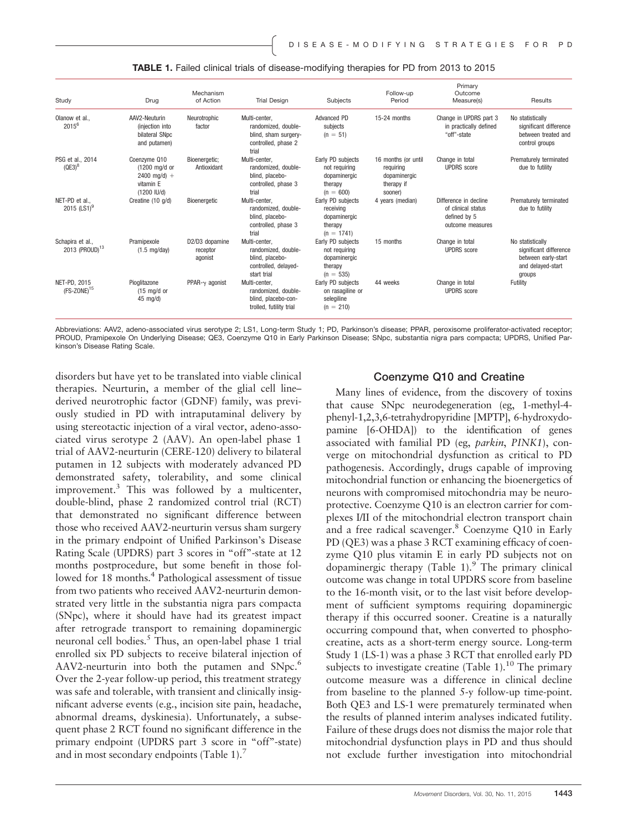| Study                                        | Drug                                                                        | Mechanism<br>of Action                | <b>Trial Design</b>                                                                            | Subjects                                                                     | Follow-up<br>Period                                                       | Primary<br>Outcome<br>Measure(s)                                                | Results                                                                                          |
|----------------------------------------------|-----------------------------------------------------------------------------|---------------------------------------|------------------------------------------------------------------------------------------------|------------------------------------------------------------------------------|---------------------------------------------------------------------------|---------------------------------------------------------------------------------|--------------------------------------------------------------------------------------------------|
| Olanow et al<br>2015 <sup>6</sup>            | AAV2-Neuturin<br>(injection into<br>bilateral SNpc<br>and putamen)          | Neurotrophic<br>factor                | Multi-center.<br>randomized, double-<br>blind, sham surgery-<br>controlled, phase 2<br>trial   | <b>Advanced PD</b><br>subjects<br>$(n = 51)$                                 | 15-24 months                                                              | Change in UPDRS part 3<br>in practically defined<br>"off"-state                 | No statistically<br>significant difference<br>between treated and<br>control groups              |
| PSG et al., 2014<br>$(QE3)^8$                | Coenzyme Q10<br>(1200 mg/d or<br>$2400$ mg/d) +<br>vitamin E<br>(1200 IU/d) | Bioenergetic;<br>Antioxidant          | Multi-center.<br>randomized, double-<br>blind, placebo-<br>controlled, phase 3<br>trial        | Early PD subjects<br>not requiring<br>dopaminergic<br>therapy<br>$(n = 600)$ | 16 months (or until<br>requiring<br>dopaminergic<br>therapy if<br>sooner) | Change in total<br><b>UPDRS</b> score                                           | Prematurely terminated<br>due to futility                                                        |
| NET-PD et al<br>2015 $(LS1)^9$               | Creatine (10 g/d)                                                           | Bioeneraetic                          | Multi-center.<br>randomized, double-<br>blind, placebo-<br>controlled, phase 3<br>trial        | Early PD subjects<br>receiving<br>dopaminergic<br>therapy<br>$(n = 1741)$    | 4 years (median)                                                          | Difference in decline<br>of clinical status<br>defined by 5<br>outcome measures | Prematurely terminated<br>due to futility                                                        |
| Schapira et al<br>2013 (PROUD) <sup>13</sup> | Pramipexole<br>$(1.5 \text{ mg/day})$                                       | D2/D3 dopamine<br>receptor<br>agonist | Multi-center,<br>randomized, double-<br>blind, placebo-<br>controlled, delayed-<br>start trial | Early PD subjects<br>not requiring<br>dopaminergic<br>therapy<br>$(n = 535)$ | 15 months                                                                 | Change in total<br><b>UPDRS</b> score                                           | No statistically<br>significant difference<br>between early-start<br>and delayed-start<br>groups |
| NET-PD, 2015<br>$(FS-ZONE)^{15}$             | Pioglitazone<br>$(15 \text{ mg/d or})$<br>$45 \text{ mg/d}$                 | PPAR- $\gamma$ agonist                | Multi-center.<br>randomized, double-<br>blind, placebo-con-<br>trolled, futility trial         | Early PD subjects<br>on rasagiline or<br>selegiline<br>$(n = 210)$           | 44 weeks                                                                  | Change in total<br><b>UPDRS</b> score                                           | Futility                                                                                         |

#### TABLE 1. Failed clinical trials of disease-modifying therapies for PD from 2013 to 2015

Abbreviations: AAV2, adeno-associated virus serotype 2; LS1, Long-term Study 1; PD, Parkinson's disease; PPAR, peroxisome proliferator-activated receptor; PROUD, Pramipexole On Underlying Disease; QE3, Coenzyme Q10 in Early Parkinson Disease; SNpc, substantia nigra pars compacta; UPDRS, Unified Parkinson's Disease Rating Scale.

disorders but have yet to be translated into viable clinical therapies. Neurturin, a member of the glial cell line– derived neurotrophic factor (GDNF) family, was previously studied in PD with intraputaminal delivery by using stereotactic injection of a viral vector, adeno-associated virus serotype 2 (AAV). An open-label phase 1 trial of AAV2-neurturin (CERE-120) delivery to bilateral putamen in 12 subjects with moderately advanced PD demonstrated safety, tolerability, and some clinical improvement.<sup>3</sup> This was followed by a multicenter, double-blind, phase 2 randomized control trial (RCT) that demonstrated no significant difference between those who received AAV2-neurturin versus sham surgery in the primary endpoint of Unified Parkinson's Disease Rating Scale (UPDRS) part 3 scores in "off"-state at 12 months postprocedure, but some benefit in those followed for 18 months.<sup>4</sup> Pathological assessment of tissue from two patients who received AAV2-neurturin demonstrated very little in the substantia nigra pars compacta (SNpc), where it should have had its greatest impact after retrograde transport to remaining dopaminergic neuronal cell bodies.<sup>5</sup> Thus, an open-label phase 1 trial enrolled six PD subjects to receive bilateral injection of AAV2-neurturin into both the putamen and SNpc.<sup>6</sup> Over the 2-year follow-up period, this treatment strategy was safe and tolerable, with transient and clinically insignificant adverse events (e.g., incision site pain, headache, abnormal dreams, dyskinesia). Unfortunately, a subsequent phase 2 RCT found no significant difference in the primary endpoint (UPDRS part 3 score in "off"-state) and in most secondary endpoints (Table 1).<sup>7</sup>

#### Coenzyme Q10 and Creatine

Many lines of evidence, from the discovery of toxins that cause SNpc neurodegeneration (eg, 1-methyl-4 phenyl-1,2,3,6-tetrahydropyridine [MPTP], 6-hydroxydopamine [6-OHDA]) to the identification of genes associated with familial PD (eg, parkin, PINK1), converge on mitochondrial dysfunction as critical to PD pathogenesis. Accordingly, drugs capable of improving mitochondrial function or enhancing the bioenergetics of neurons with compromised mitochondria may be neuroprotective. Coenzyme Q10 is an electron carrier for complexes I/II of the mitochondrial electron transport chain and a free radical scavenger.<sup>8</sup> Coenzyme Q10 in Early PD (QE3) was a phase 3 RCT examining efficacy of coenzyme Q10 plus vitamin E in early PD subjects not on dopaminergic therapy (Table 1). <sup>9</sup> The primary clinical outcome was change in total UPDRS score from baseline to the 16-month visit, or to the last visit before development of sufficient symptoms requiring dopaminergic therapy if this occurred sooner. Creatine is a naturally occurring compound that, when converted to phosphocreatine, acts as a short-term energy source. Long-term Study 1 (LS-1) was a phase 3 RCT that enrolled early PD subjects to investigate creatine (Table 1).<sup>10</sup> The primary outcome measure was a difference in clinical decline from baseline to the planned 5-y follow-up time-point. Both QE3 and LS-1 were prematurely terminated when the results of planned interim analyses indicated futility. Failure of these drugs does not dismiss the major role that mitochondrial dysfunction plays in PD and thus should not exclude further investigation into mitochondrial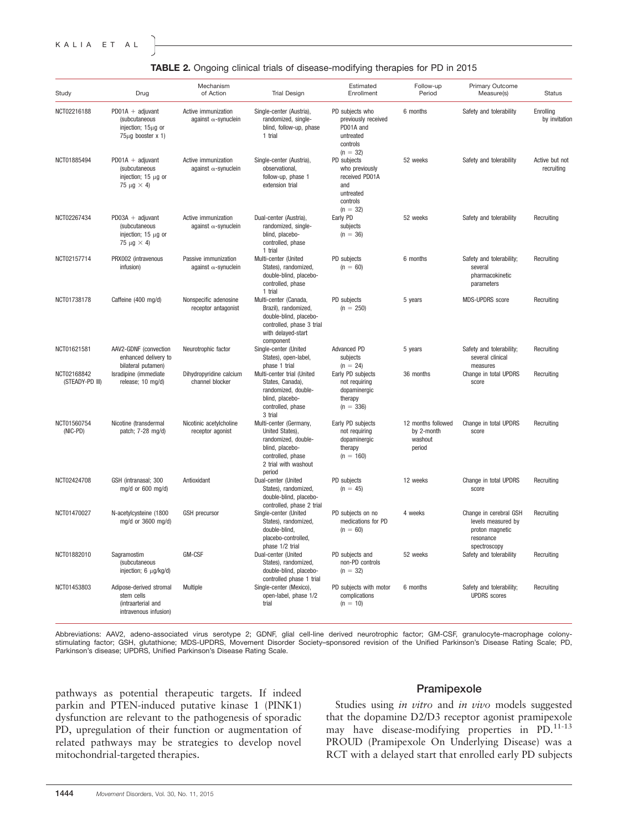|  |  | TABLE 2. Ongoing clinical trials of disease-modifying therapies for PD in 2015 |  |  |
|--|--|--------------------------------------------------------------------------------|--|--|
|  |  |                                                                                |  |  |

| Study                          | Drug                                                                                              | Mechanism<br>of Action                              | <b>Trial Design</b>                                                                                                                        | Estimated<br>Enrollment                                                                       | Follow-up<br>Period                                   | Primary Outcome<br>Measure(s)                                                                | <b>Status</b>                |
|--------------------------------|---------------------------------------------------------------------------------------------------|-----------------------------------------------------|--------------------------------------------------------------------------------------------------------------------------------------------|-----------------------------------------------------------------------------------------------|-------------------------------------------------------|----------------------------------------------------------------------------------------------|------------------------------|
| NCT02216188                    | $PD01A + adjuvant$<br><i>(subcutaneous)</i><br>injection; 15µg or<br>$75\mu$ g booster x 1)       | Active immunization<br>against $\alpha$ -synuclein  | Single-center (Austria),<br>randomized, single-<br>blind, follow-up, phase<br>1 trial                                                      | PD subjects who<br>previously received<br>PD01A and<br>untreated<br>controls<br>$(n = 32)$    | 6 months                                              | Safety and tolerability                                                                      | Enrolling<br>by invitation   |
| NCT01885494                    | $PD01A + adjuvant$<br><i>(subcutaneous)</i><br>injection; $15 \mu g$ or<br>75 $\mu$ g $\times$ 4) | Active immunization<br>against $\alpha$ -synuclein  | Single-center (Austria),<br>observational,<br>follow-up, phase 1<br>extension trial                                                        | PD subjects<br>who previously<br>received PD01A<br>and<br>untreated<br>controls<br>$(n = 32)$ | 52 weeks                                              | Safety and tolerability                                                                      | Active but not<br>recruiting |
| NCT02267434                    | $PD03A + adjuvant$<br><i>(subcutaneous)</i><br>injection; $15 \mu g$ or<br>75 $\mu$ g $\times$ 4) | Active immunization<br>against $\alpha$ -synuclein  | Dual-center (Austria),<br>randomized, single-<br>blind, placebo-<br>controlled, phase<br>1 trial                                           | Early PD<br>subjects<br>$(n = 36)$                                                            | 52 weeks                                              | Safety and tolerability                                                                      | Recruiting                   |
| NCT02157714                    | PRX002 (intravenous<br>infusion)                                                                  | Passive immunization<br>against $\alpha$ -synuclein | Multi-center (United<br>States), randomized,<br>double-blind, placebo-<br>controlled, phase<br>1 trial                                     | PD subjects<br>$(n = 60)$                                                                     | 6 months                                              | Safety and tolerability;<br>several<br>pharmacokinetic<br>parameters                         | Recruiting                   |
| NCT01738178                    | Caffeine (400 mg/d)                                                                               | Nonspecific adenosine<br>receptor antagonist        | Multi-center (Canada,<br>Brazil), randomized,<br>double-blind, placebo-<br>controlled, phase 3 trial<br>with delayed-start<br>component    | PD subjects<br>$(n = 250)$                                                                    | 5 years                                               | <b>MDS-UPDRS</b> score                                                                       | Recruiting                   |
| NCT01621581                    | AAV2-GDNF (convection<br>enhanced delivery to<br>bilateral putamen)                               | Neurotrophic factor                                 | Single-center (United<br>States), open-label,<br>phase 1 trial                                                                             | Advanced PD<br>subjects<br>$(n = 24)$                                                         | 5 years                                               | Safety and tolerability;<br>several clinical<br>measures                                     | Recruiting                   |
| NCT02168842<br>(STEADY-PD III) | Isradipine (immediate<br>release; 10 mg/d)                                                        | Dihydropyridine calcium<br>channel blocker          | Multi-center trial (United<br>States, Canada),<br>randomized, double-<br>blind, placebo-<br>controlled, phase<br>3 trial                   | Early PD subjects<br>not requiring<br>dopaminergic<br>therapy<br>$(n = 336)$                  | 36 months                                             | Change in total UPDRS<br>score                                                               | Recruiting                   |
| NCT01560754<br>(NIC-PD)        | Nicotine (transdermal<br>patch; 7-28 mg/d)                                                        | Nicotinic acetylcholine<br>receptor agonist         | Multi-center (Germany,<br>United States),<br>randomized, double-<br>blind, placebo-<br>controlled, phase<br>2 trial with washout<br>period | Early PD subjects<br>not requiring<br>dopaminergic<br>therapy<br>$(n = 160)$                  | 12 months followed<br>by 2-month<br>washout<br>period | Change in total UPDRS<br>score                                                               | Recruiting                   |
| NCT02424708                    | GSH (intranasal; 300<br>mg/d or 600 mg/d)                                                         | Antioxidant                                         | Dual-center (United<br>States), randomized,<br>double-blind, placebo-<br>controlled, phase 2 trial                                         | PD subjects<br>$(n = 45)$                                                                     | 12 weeks                                              | Change in total UPDRS<br>score                                                               | Recruiting                   |
| NCT01470027                    | N-acetylcysteine (1800<br>mg/d or 3600 mg/d)                                                      | <b>GSH</b> precursor                                | Single-center (United<br>States), randomized,<br>double-blind,<br>placebo-controlled,<br>phase 1/2 trial                                   | PD subjects on no<br>medications for PD<br>$(n = 60)$                                         | 4 weeks                                               | Change in cerebral GSH<br>levels measured by<br>proton magnetic<br>resonance<br>spectroscopy | Recruiting                   |
| NCT01882010                    | Sagramostim<br><i>(subcutaneous)</i><br>injection; 6 µg/kg/d)                                     | <b>GM-CSF</b>                                       | Dual-center (United<br>States), randomized,<br>double-blind, placebo-<br>controlled phase 1 trial                                          | PD subjects and<br>non-PD controls<br>$(n = 32)$                                              | 52 weeks                                              | Safety and tolerability                                                                      | Recruiting                   |
| NCT01453803                    | Adipose-derived stromal<br>stem cells<br>(intraarterial and<br>intravenous infusion)              | Multiple                                            | Single-center (Mexico),<br>open-label, phase 1/2<br>trial                                                                                  | PD subjects with motor<br>complications<br>$(n = 10)$                                         | 6 months                                              | Safety and tolerability;<br><b>UPDRS</b> scores                                              | Recruiting                   |

Abbreviations: AAV2, adeno-associated virus serotype 2; GDNF, glial cell-line derived neurotrophic factor; GM-CSF, granulocyte-macrophage colony-<br>stimulating factor; GSH, glutathione; MDS-UPDRS, Movement Disorder Society–s Parkinson's disease; UPDRS, Unified Parkinson's Disease Rating Scale.

pathways as potential therapeutic targets. If indeed parkin and PTEN-induced putative kinase 1 (PINK1) dysfunction are relevant to the pathogenesis of sporadic PD, upregulation of their function or augmentation of related pathways may be strategies to develop novel mitochondrial-targeted therapies.

#### Pramipexole

Studies using *in vitro* and *in vivo* models suggested that the dopamine D2/D3 receptor agonist pramipexole may have disease-modifying properties in PD.<sup>11-13</sup> PROUD (Pramipexole On Underlying Disease) was a RCT with a delayed start that enrolled early PD subjects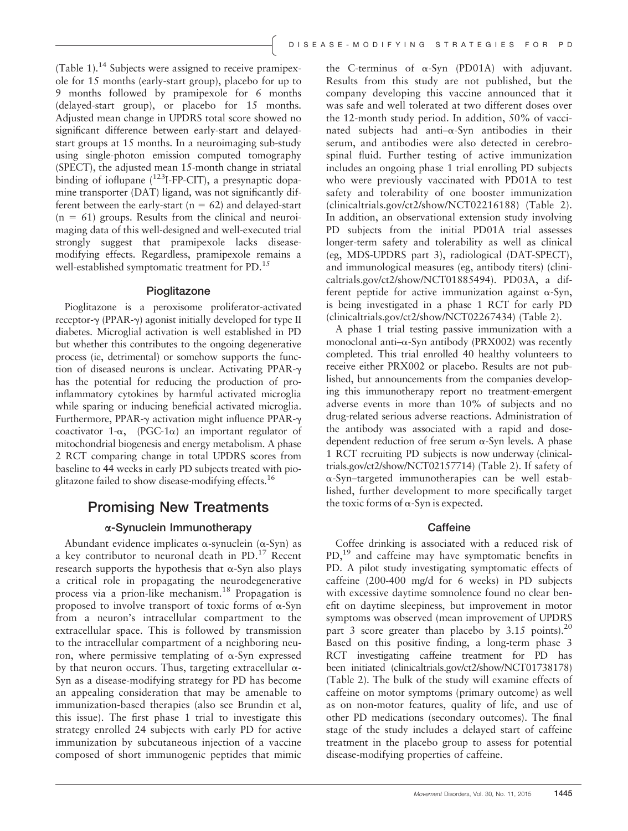(Table 1). $^{14}$  Subjects were assigned to receive pramipexole for 15 months (early-start group), placebo for up to 9 months followed by pramipexole for 6 months (delayed-start group), or placebo for 15 months. Adjusted mean change in UPDRS total score showed no significant difference between early-start and delayedstart groups at 15 months. In a neuroimaging sub-study using single-photon emission computed tomography (SPECT), the adjusted mean 15-month change in striatal binding of ioflupane  $(^{123}I-FP-CIT)$ , a presynaptic dopamine transporter (DAT) ligand, was not significantly different between the early-start ( $n = 62$ ) and delayed-start  $(n = 61)$  groups. Results from the clinical and neuroimaging data of this well-designed and well-executed trial strongly suggest that pramipexole lacks diseasemodifying effects. Regardless, pramipexole remains a well-established symptomatic treatment for PD.<sup>15</sup>

#### Pioglitazone

Pioglitazone is a peroxisome proliferator-activated receptor- $\gamma$  (PPAR- $\gamma$ ) agonist initially developed for type II diabetes. Microglial activation is well established in PD but whether this contributes to the ongoing degenerative process (ie, detrimental) or somehow supports the function of diseased neurons is unclear. Activating PPAR-g has the potential for reducing the production of proinflammatory cytokines by harmful activated microglia while sparing or inducing beneficial activated microglia. Furthermore, PPAR- $\gamma$  activation might influence PPAR- $\gamma$ coactivator 1- $\alpha$ , (PGC-1 $\alpha$ ) an important regulator of mitochondrial biogenesis and energy metabolism. A phase 2 RCT comparing change in total UPDRS scores from baseline to 44 weeks in early PD subjects treated with pioglitazone failed to show disease-modifying effects.<sup>16</sup>

### Promising New Treatments

#### a-Synuclein Immunotherapy

Abundant evidence implicates  $\alpha$ -synuclein ( $\alpha$ -Syn) as a key contributor to neuronal death in PD.<sup>17</sup> Recent research supports the hypothesis that  $\alpha$ -Syn also plays a critical role in propagating the neurodegenerative process via a prion-like mechanism.<sup>18</sup> Propagation is proposed to involve transport of toxic forms of  $\alpha$ -Syn from a neuron's intracellular compartment to the extracellular space. This is followed by transmission to the intracellular compartment of a neighboring neuron, where permissive templating of  $\alpha$ -Syn expressed by that neuron occurs. Thus, targeting extracellular  $\alpha$ -Syn as a disease-modifying strategy for PD has become an appealing consideration that may be amenable to immunization-based therapies (also see Brundin et al, this issue). The first phase 1 trial to investigate this strategy enrolled 24 subjects with early PD for active immunization by subcutaneous injection of a vaccine composed of short immunogenic peptides that mimic the C-terminus of  $\alpha$ -Syn (PD01A) with adjuvant. Results from this study are not published, but the company developing this vaccine announced that it was safe and well tolerated at two different doses over the 12-month study period. In addition, 50% of vaccinated subjects had anti- $\alpha$ -Syn antibodies in their serum, and antibodies were also detected in cerebrospinal fluid. Further testing of active immunization includes an ongoing phase 1 trial enrolling PD subjects who were previously vaccinated with PD01A to test safety and tolerability of one booster immunization (clinicaltrials.gov/ct2/show/NCT02216188) (Table 2). In addition, an observational extension study involving PD subjects from the initial PD01A trial assesses longer-term safety and tolerability as well as clinical (eg, MDS-UPDRS part 3), radiological (DAT-SPECT), and immunological measures (eg, antibody titers) (clinicaltrials.gov/ct2/show/NCT01885494). PD03A, a different peptide for active immunization against  $\alpha$ -Syn, is being investigated in a phase 1 RCT for early PD (clinicaltrials.gov/ct2/show/NCT02267434) (Table 2).

A phase 1 trial testing passive immunization with a monoclonal anti- $\alpha$ -Syn antibody (PRX002) was recently completed. This trial enrolled 40 healthy volunteers to receive either PRX002 or placebo. Results are not published, but announcements from the companies developing this immunotherapy report no treatment-emergent adverse events in more than 10% of subjects and no drug-related serious adverse reactions. Administration of the antibody was associated with a rapid and dosedependent reduction of free serum  $\alpha$ -Syn levels. A phase 1 RCT recruiting PD subjects is now underway (clinicaltrials.gov/ct2/show/NCT02157714) (Table 2). If safety of a-Syn–targeted immunotherapies can be well established, further development to more specifically target the toxic forms of  $\alpha$ -Syn is expected.

#### **Caffeine**

Coffee drinking is associated with a reduced risk of PD,<sup>19</sup> and caffeine may have symptomatic benefits in PD. A pilot study investigating symptomatic effects of caffeine (200-400 mg/d for 6 weeks) in PD subjects with excessive daytime somnolence found no clear benefit on daytime sleepiness, but improvement in motor symptoms was observed (mean improvement of UPDRS part 3 score greater than placebo by 3.15 points).<sup>20</sup> Based on this positive finding, a long-term phase 3 RCT investigating caffeine treatment for PD has been initiated (clinicaltrials.gov/ct2/show/NCT01738178) (Table 2). The bulk of the study will examine effects of caffeine on motor symptoms (primary outcome) as well as on non-motor features, quality of life, and use of other PD medications (secondary outcomes). The final stage of the study includes a delayed start of caffeine treatment in the placebo group to assess for potential disease-modifying properties of caffeine.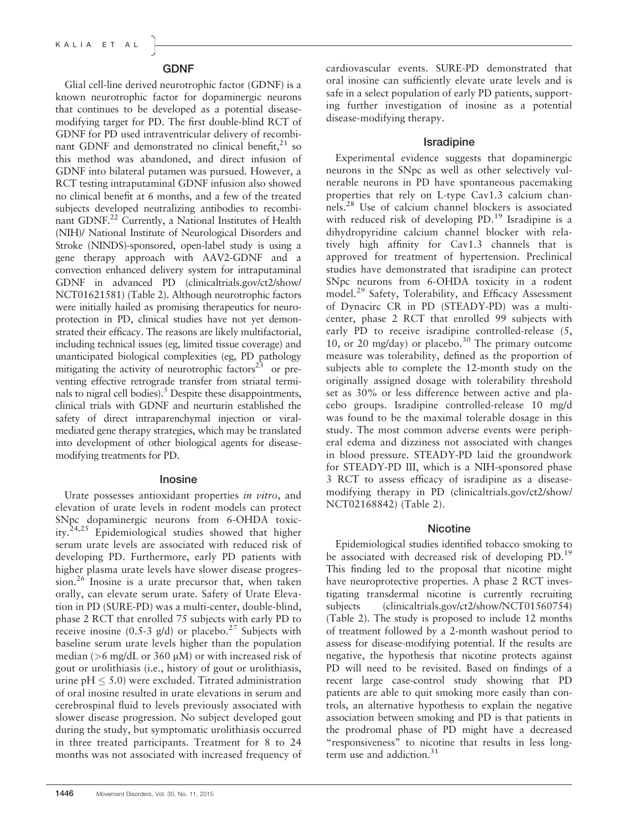#### GDNF

Glial cell-line derived neurotrophic factor (GDNF) is a known neurotrophic factor for dopaminergic neurons that continues to be developed as a potential diseasemodifying target for PD. The first double-blind RCT of GDNF for PD used intraventricular delivery of recombinant GDNF and demonstrated no clinical benefit, $21$  so this method was abandoned, and direct infusion of GDNF into bilateral putamen was pursued. However, a RCT testing intraputaminal GDNF infusion also showed no clinical benefit at 6 months, and a few of the treated subjects developed neutralizing antibodies to recombinant GDNF.<sup>22</sup> Currently, a National Institutes of Health (NIH)/ National Institute of Neurological Disorders and Stroke (NINDS)-sponsored, open-label study is using a gene therapy approach with AAV2-GDNF and a convection enhanced delivery system for intraputaminal GDNF in advanced PD (clinicaltrials.gov/ct2/show/ NCT01621581) (Table 2). Although neurotrophic factors were initially hailed as promising therapeutics for neuroprotection in PD, clinical studies have not yet demonstrated their efficacy. The reasons are likely multifactorial, including technical issues (eg, limited tissue coverage) and unanticipated biological complexities (eg, PD pathology mitigating the activity of neurotrophic factors $23$  or preventing effective retrograde transfer from striatal terminals to nigral cell bodies). $<sup>5</sup>$  Despite these disappointments,</sup> clinical trials with GDNF and neurturin established the safety of direct intraparenchymal injection or viralmediated gene therapy strategies, which may be translated into development of other biological agents for diseasemodifying treatments for PD.

#### Inosine

Urate possesses antioxidant properties in vitro, and elevation of urate levels in rodent models can protect SNpc dopaminergic neurons from 6-OHDA toxicity. $24,25$  Epidemiological studies showed that higher serum urate levels are associated with reduced risk of developing PD. Furthermore, early PD patients with higher plasma urate levels have slower disease progression.<sup>26</sup> Inosine is a urate precursor that, when taken orally, can elevate serum urate. Safety of Urate Elevation in PD (SURE-PD) was a multi-center, double-blind, phase 2 RCT that enrolled 75 subjects with early PD to receive inosine (0.5-3 g/d) or placebo.<sup>27</sup> Subjects with baseline serum urate levels higher than the population median ( $>6$  mg/dL or 360  $\mu$ M) or with increased risk of gout or urolithiasis (i.e., history of gout or urolithiasis, urine pH  $\leq$  5.0) were excluded. Titrated administration of oral inosine resulted in urate elevations in serum and cerebrospinal fluid to levels previously associated with slower disease progression. No subject developed gout during the study, but symptomatic urolithiasis occurred in three treated participants. Treatment for 8 to 24 months was not associated with increased frequency of cardiovascular events. SURE-PD demonstrated that oral inosine can sufficiently elevate urate levels and is safe in a select population of early PD patients, supporting further investigation of inosine as a potential disease-modifying therapy.

#### Isradipine

Experimental evidence suggests that dopaminergic neurons in the SNpc as well as other selectively vulnerable neurons in PD have spontaneous pacemaking properties that rely on L-type Cav1.3 calcium channels.<sup>28</sup> Use of calcium channel blockers is associated with reduced risk of developing  $PD<sup>19</sup>$  Isradipine is a dihydropyridine calcium channel blocker with relatively high affinity for Cav1.3 channels that is approved for treatment of hypertension. Preclinical studies have demonstrated that isradipine can protect SNpc neurons from 6-OHDA toxicity in a rodent model.<sup>29</sup> Safety, Tolerability, and Efficacy Assessment of Dynacirc CR in PD (STEADY-PD) was a multicenter, phase 2 RCT that enrolled 99 subjects with early PD to receive isradipine controlled-release (5, 10, or 20 mg/day) or placebo.<sup>30</sup> The primary outcome measure was tolerability, defined as the proportion of subjects able to complete the 12-month study on the originally assigned dosage with tolerability threshold set as 30% or less difference between active and placebo groups. Isradipine controlled-release 10 mg/d was found to be the maximal tolerable dosage in this study. The most common adverse events were peripheral edema and dizziness not associated with changes in blood pressure. STEADY-PD laid the groundwork for STEADY-PD III, which is a NIH-sponsored phase 3 RCT to assess efficacy of isradipine as a diseasemodifying therapy in PD (clinicaltrials.gov/ct2/show/ NCT02168842) (Table 2).

#### Nicotine

Epidemiological studies identified tobacco smoking to be associated with decreased risk of developing PD.<sup>19</sup> This finding led to the proposal that nicotine might have neuroprotective properties. A phase 2 RCT investigating transdermal nicotine is currently recruiting subjects (clinicaltrials.gov/ct2/show/NCT01560754) (Table 2). The study is proposed to include 12 months of treatment followed by a 2-month washout period to assess for disease-modifying potential. If the results are negative, the hypothesis that nicotine protects against PD will need to be revisited. Based on findings of a recent large case-control study showing that PD patients are able to quit smoking more easily than controls, an alternative hypothesis to explain the negative association between smoking and PD is that patients in the prodromal phase of PD might have a decreased "responsiveness" to nicotine that results in less longterm use and addiction.<sup>31</sup>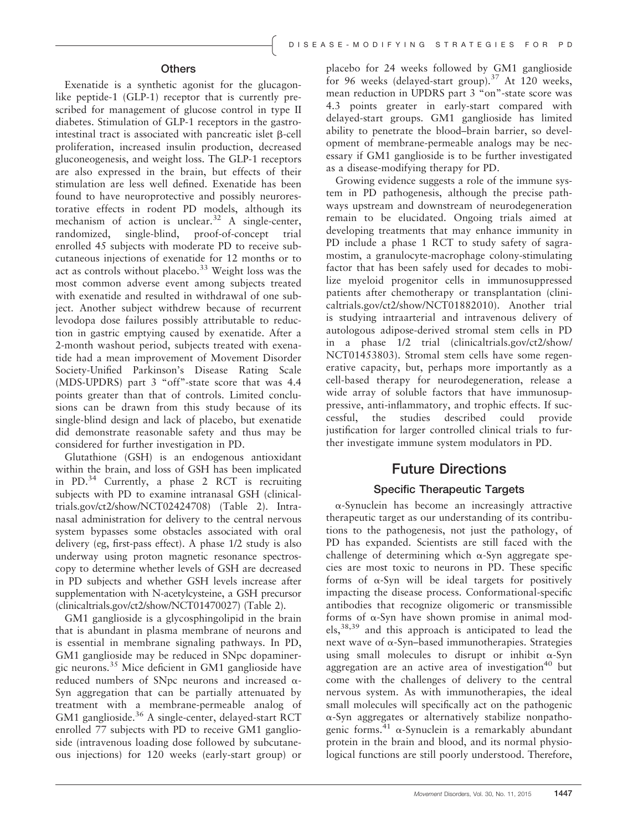#### **Others**

Exenatide is a synthetic agonist for the glucagonlike peptide-1 (GLP-1) receptor that is currently prescribed for management of glucose control in type II diabetes. Stimulation of GLP-1 receptors in the gastrointestinal tract is associated with pancreatic islet  $\beta$ -cell proliferation, increased insulin production, decreased gluconeogenesis, and weight loss. The GLP-1 receptors are also expressed in the brain, but effects of their stimulation are less well defined. Exenatide has been found to have neuroprotective and possibly neurorestorative effects in rodent PD models, although its mechanism of action is unclear.<sup>32</sup> A single-center, randomized, single-blind, proof-of-concept trial enrolled 45 subjects with moderate PD to receive subcutaneous injections of exenatide for 12 months or to act as controls without placebo.<sup>33</sup> Weight loss was the most common adverse event among subjects treated with exenatide and resulted in withdrawal of one subject. Another subject withdrew because of recurrent levodopa dose failures possibly attributable to reduction in gastric emptying caused by exenatide. After a 2-month washout period, subjects treated with exenatide had a mean improvement of Movement Disorder Society-Unified Parkinson's Disease Rating Scale (MDS-UPDRS) part 3 "off"-state score that was 4.4 points greater than that of controls. Limited conclusions can be drawn from this study because of its single-blind design and lack of placebo, but exenatide did demonstrate reasonable safety and thus may be considered for further investigation in PD.

Glutathione (GSH) is an endogenous antioxidant within the brain, and loss of GSH has been implicated in PD.<sup>34</sup> Currently, a phase 2 RCT is recruiting subjects with PD to examine intranasal GSH (clinicaltrials.gov/ct2/show/NCT02424708) (Table 2). Intranasal administration for delivery to the central nervous system bypasses some obstacles associated with oral delivery (eg, first-pass effect). A phase 1/2 study is also underway using proton magnetic resonance spectroscopy to determine whether levels of GSH are decreased in PD subjects and whether GSH levels increase after supplementation with N-acetylcysteine, a GSH precursor (clinicaltrials.gov/ct2/show/NCT01470027) (Table 2).

GM1 ganglioside is a glycosphingolipid in the brain that is abundant in plasma membrane of neurons and is essential in membrane signaling pathways. In PD, GM1 ganglioside may be reduced in SNpc dopaminergic neurons.<sup>35</sup> Mice deficient in GM1 ganglioside have reduced numbers of SNpc neurons and increased  $\alpha$ -Syn aggregation that can be partially attenuated by treatment with a membrane-permeable analog of GM1 ganglioside.<sup>36</sup> A single-center, delayed-start RCT enrolled 77 subjects with PD to receive GM1 ganglioside (intravenous loading dose followed by subcutaneous injections) for 120 weeks (early-start group) or

placebo for 24 weeks followed by GM1 ganglioside for 96 weeks (delayed-start group).<sup>37</sup> At 120 weeks, mean reduction in UPDRS part 3 "on"-state score was 4.3 points greater in early-start compared with delayed-start groups. GM1 ganglioside has limited ability to penetrate the blood–brain barrier, so development of membrane-permeable analogs may be necessary if GM1 ganglioside is to be further investigated as a disease-modifying therapy for PD.

Growing evidence suggests a role of the immune system in PD pathogenesis, although the precise pathways upstream and downstream of neurodegeneration remain to be elucidated. Ongoing trials aimed at developing treatments that may enhance immunity in PD include a phase 1 RCT to study safety of sagramostim, a granulocyte-macrophage colony-stimulating factor that has been safely used for decades to mobilize myeloid progenitor cells in immunosuppressed patients after chemotherapy or transplantation (clinicaltrials.gov/ct2/show/NCT01882010). Another trial is studying intraarterial and intravenous delivery of autologous adipose-derived stromal stem cells in PD in a phase 1/2 trial (clinicaltrials.gov/ct2/show/ NCT01453803). Stromal stem cells have some regenerative capacity, but, perhaps more importantly as a cell-based therapy for neurodegeneration, release a wide array of soluble factors that have immunosuppressive, anti-inflammatory, and trophic effects. If successful, the studies described could provide justification for larger controlled clinical trials to further investigate immune system modulators in PD.

### Future Directions

### Specific Therapeutic Targets

a-Synuclein has become an increasingly attractive therapeutic target as our understanding of its contributions to the pathogenesis, not just the pathology, of PD has expanded. Scientists are still faced with the challenge of determining which  $\alpha$ -Syn aggregate species are most toxic to neurons in PD. These specific forms of  $\alpha$ -Syn will be ideal targets for positively impacting the disease process. Conformational-specific antibodies that recognize oligomeric or transmissible forms of  $\alpha$ -Syn have shown promise in animal models,38,39 and this approach is anticipated to lead the next wave of  $\alpha$ -Syn–based immunotherapies. Strategies using small molecules to disrupt or inhibit  $\alpha$ -Syn aggregation are an active area of investigation $40$  but come with the challenges of delivery to the central nervous system. As with immunotherapies, the ideal small molecules will specifically act on the pathogenic a-Syn aggregates or alternatively stabilize nonpathogenic forms.<sup>41</sup>  $\alpha$ -Synuclein is a remarkably abundant protein in the brain and blood, and its normal physiological functions are still poorly understood. Therefore,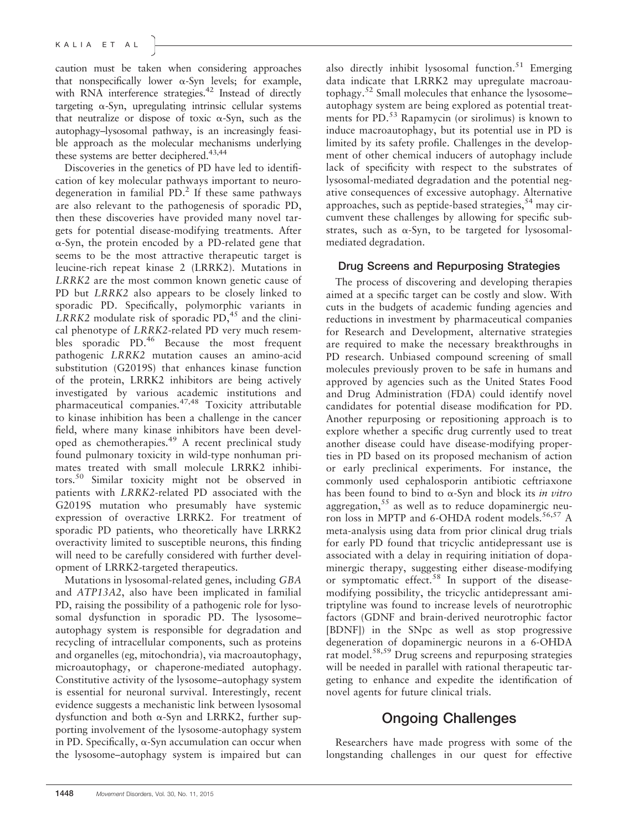caution must be taken when considering approaches that nonspecifically lower  $\alpha$ -Syn levels; for example, with RNA interference strategies.<sup>42</sup> Instead of directly targeting  $\alpha$ -Syn, upregulating intrinsic cellular systems that neutralize or dispose of toxic  $\alpha$ -Syn, such as the autophagy–lysosomal pathway, is an increasingly feasible approach as the molecular mechanisms underlying these systems are better deciphered.<sup>43,44</sup>

Discoveries in the genetics of PD have led to identification of key molecular pathways important to neurodegeneration in familial  $PD<sup>2</sup>$ . If these same pathways are also relevant to the pathogenesis of sporadic PD, then these discoveries have provided many novel targets for potential disease-modifying treatments. After  $\alpha$ -Syn, the protein encoded by a PD-related gene that seems to be the most attractive therapeutic target is leucine-rich repeat kinase 2 (LRRK2). Mutations in LRRK2 are the most common known genetic cause of PD but LRRK2 also appears to be closely linked to sporadic PD. Specifically, polymorphic variants in  $LRRK2$  modulate risk of sporadic PD,<sup>45</sup> and the clinical phenotype of LRRK2-related PD very much resembles sporadic PD.<sup>46</sup> Because the most frequent pathogenic LRRK2 mutation causes an amino-acid substitution (G2019S) that enhances kinase function of the protein, LRRK2 inhibitors are being actively investigated by various academic institutions and pharmaceutical companies.<sup>47,48</sup> Toxicity attributable to kinase inhibition has been a challenge in the cancer field, where many kinase inhibitors have been developed as chemotherapies.<sup>49</sup> A recent preclinical study found pulmonary toxicity in wild-type nonhuman primates treated with small molecule LRRK2 inhibitors.<sup>50</sup> Similar toxicity might not be observed in patients with LRRK2-related PD associated with the G2019S mutation who presumably have systemic expression of overactive LRRK2. For treatment of sporadic PD patients, who theoretically have LRRK2 overactivity limited to susceptible neurons, this finding will need to be carefully considered with further development of LRRK2-targeted therapeutics.

Mutations in lysosomal-related genes, including GBA and ATP13A2, also have been implicated in familial PD, raising the possibility of a pathogenic role for lysosomal dysfunction in sporadic PD. The lysosome– autophagy system is responsible for degradation and recycling of intracellular components, such as proteins and organelles (eg, mitochondria), via macroautophagy, microautophagy, or chaperone-mediated autophagy. Constitutive activity of the lysosome–autophagy system is essential for neuronal survival. Interestingly, recent evidence suggests a mechanistic link between lysosomal dysfunction and both  $\alpha$ -Syn and LRRK2, further supporting involvement of the lysosome-autophagy system in PD. Specifically,  $\alpha$ -Syn accumulation can occur when the lysosome–autophagy system is impaired but can also directly inhibit lysosomal function.<sup>51</sup> Emerging data indicate that LRRK2 may upregulate macroautophagy.<sup>52</sup> Small molecules that enhance the lysosome– autophagy system are being explored as potential treatments for PD.<sup>53</sup> Rapamycin (or sirolimus) is known to induce macroautophagy, but its potential use in PD is limited by its safety profile. Challenges in the development of other chemical inducers of autophagy include lack of specificity with respect to the substrates of lysosomal-mediated degradation and the potential negative consequences of excessive autophagy. Alternative approaches, such as peptide-based strategies,  $54$  may circumvent these challenges by allowing for specific substrates, such as  $\alpha$ -Syn, to be targeted for lysosomalmediated degradation.

### Drug Screens and Repurposing Strategies

The process of discovering and developing therapies aimed at a specific target can be costly and slow. With cuts in the budgets of academic funding agencies and reductions in investment by pharmaceutical companies for Research and Development, alternative strategies are required to make the necessary breakthroughs in PD research. Unbiased compound screening of small molecules previously proven to be safe in humans and approved by agencies such as the United States Food and Drug Administration (FDA) could identify novel candidates for potential disease modification for PD. Another repurposing or repositioning approach is to explore whether a specific drug currently used to treat another disease could have disease-modifying properties in PD based on its proposed mechanism of action or early preclinical experiments. For instance, the commonly used cephalosporin antibiotic ceftriaxone has been found to bind to  $\alpha$ -Syn and block its *in vitro* aggregation, $55$  as well as to reduce dopaminergic neuron loss in MPTP and 6-OHDA rodent models.<sup>56,57</sup> A meta-analysis using data from prior clinical drug trials for early PD found that tricyclic antidepressant use is associated with a delay in requiring initiation of dopaminergic therapy, suggesting either disease-modifying or symptomatic effect.<sup>58</sup> In support of the diseasemodifying possibility, the tricyclic antidepressant amitriptyline was found to increase levels of neurotrophic factors (GDNF and brain-derived neurotrophic factor [BDNF]) in the SNpc as well as stop progressive degeneration of dopaminergic neurons in a 6-OHDA rat model.<sup>58,59</sup> Drug screens and repurposing strategies will be needed in parallel with rational therapeutic targeting to enhance and expedite the identification of novel agents for future clinical trials.

## Ongoing Challenges

Researchers have made progress with some of the longstanding challenges in our quest for effective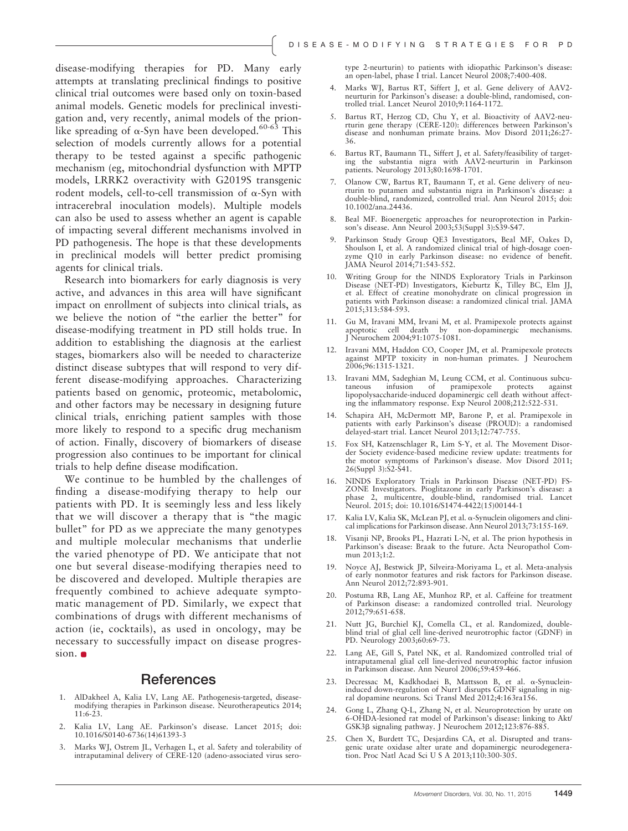disease-modifying therapies for PD. Many early attempts at translating preclinical findings to positive clinical trial outcomes were based only on toxin-based animal models. Genetic models for preclinical investigation and, very recently, animal models of the prionlike spreading of  $\alpha$ -Syn have been developed.<sup>60-63</sup> This selection of models currently allows for a potential therapy to be tested against a specific pathogenic mechanism (eg, mitochondrial dysfunction with MPTP models, LRRK2 overactivity with G2019S transgenic rodent models, cell-to-cell transmission of  $\alpha$ -Syn with intracerebral inoculation models). Multiple models can also be used to assess whether an agent is capable of impacting several different mechanisms involved in PD pathogenesis. The hope is that these developments in preclinical models will better predict promising agents for clinical trials.

Research into biomarkers for early diagnosis is very active, and advances in this area will have significant impact on enrollment of subjects into clinical trials, as we believe the notion of "the earlier the better" for disease-modifying treatment in PD still holds true. In addition to establishing the diagnosis at the earliest stages, biomarkers also will be needed to characterize distinct disease subtypes that will respond to very different disease-modifying approaches. Characterizing patients based on genomic, proteomic, metabolomic, and other factors may be necessary in designing future clinical trials, enriching patient samples with those more likely to respond to a specific drug mechanism of action. Finally, discovery of biomarkers of disease progression also continues to be important for clinical trials to help define disease modification.

We continue to be humbled by the challenges of finding a disease-modifying therapy to help our patients with PD. It is seemingly less and less likely that we will discover a therapy that is "the magic bullet" for PD as we appreciate the many genotypes and multiple molecular mechanisms that underlie the varied phenotype of PD. We anticipate that not one but several disease-modifying therapies need to be discovered and developed. Multiple therapies are frequently combined to achieve adequate symptomatic management of PD. Similarly, we expect that combinations of drugs with different mechanisms of action (ie, cocktails), as used in oncology, may be necessary to successfully impact on disease progression.  $\bullet$ 

#### References

- 1. AlDakheel A, Kalia LV, Lang AE. Pathogenesis-targeted, diseasemodifying therapies in Parkinson disease. Neurotherapeutics 2014; 11:6-23.
- 2. Kalia LV, Lang AE. Parkinson's disease. Lancet 2015; doi: [10.1016/S0140-6736\(14\)61393-3](info:doi/10.1016/S0140-6736(14)61393-)
- 3. Marks WJ, Ostrem JL, Verhagen L, et al. Safety and tolerability of intraputaminal delivery of CERE-120 (adeno-associated virus sero-

type 2-neurturin) to patients with idiopathic Parkinson's disease: an open-label, phase I trial. Lancet Neurol 2008;7:400-408.

- 4. Marks WJ, Bartus RT, Siffert J, et al. Gene delivery of AAV2 neurturin for Parkinson's disease: a double-blind, randomised, controlled trial. Lancet Neurol 2010;9:1164-1172.
- 5. Bartus RT, Herzog CD, Chu Y, et al. Bioactivity of AAV2-neurturin gene therapy (CERE-120): differences between Parkinson's disease and nonhuman primate brains. Mov Disord 2011;26:27- 36.
- 6. Bartus RT, Baumann TL, Siffert J, et al. Safety/feasibility of targeting the substantia nigra with AAV2-neurturin in Parkinson patients. Neurology 2013;80:1698-1701.
- 7. Olanow CW, Bartus RT, Baumann T, et al. Gene delivery of neurturin to putamen and substantia nigra in Parkinson's disease: a double-blind, randomized, controlled trial. Ann Neurol 2015; doi: [10.1002/ana.24436](info:doi/10.1002/ana.24436).
- 8. Beal MF. Bioenergetic approaches for neuroprotection in Parkinson's disease. Ann Neurol 2003;53(Suppl 3):S39-S47.
- 9. Parkinson Study Group QE3 Investigators, Beal MF, Oakes D, Shoulson I, et al. A randomized clinical trial of high-dosage coenzyme Q10 in early Parkinson disease: no evidence of benefit. JAMA Neurol 2014;71:543-552.
- 10. Writing Group for the NINDS Exploratory Trials in Parkinson Disease (NET-PD) Investigators, Kieburtz K, Tilley BC, Elm JJ, et al. Effect of creatine monohydrate on clinical progression patients with Parkinson disease: a randomized clinical trial. JAMA 2015;313:584-593.
- 11. Gu M, Iravani MM, Irvani M, et al. Pramipexole protects against apoptotic cell death by non-dopaminergic mechanisms. J Neurochem 2004;91:1075-1081.
- 12. Iravani MM, Haddon CO, Cooper JM, et al. Pramipexole protects against MPTP toxicity in non-human primates. J Neurochem 2006;96:1315-1321.
- 13. Iravani MM, Sadeghian M, Leung CCM, et al. Continuous subcutaneous infusion of pramipexole protects against lipopolysaccharide-induced dopaminergic cell death without affecting the inflammatory response. Exp Neurol 2008;212:522-531.
- 14. Schapira AH, McDermott MP, Barone P, et al. Pramipexole in patients with early Parkinson's disease (PROUD): a randomised delayed-start trial. Lancet Neurol 2013;12:747-755.
- 15. Fox SH, Katzenschlager R, Lim S-Y, et al. The Movement Disor-der Society evidence-based medicine review update: treatments for the motor symptoms of Parkinson's disease. Mov Disord 2011; 26(Suppl 3):S2-S41.
- 16. NINDS Exploratory Trials in Parkinson Disease (NET-PD) FS-ZONE Investigators. Pioglitazone in early Parkinson's disease: a phase 2, multicentre, double-blind, randomised trial. Lancet Neurol. 2015; doi: [10.1016/S1474-4422\(15\)00144-1](info:doi/10.1016/S1474-4422(15)00144-1)
- 17. Kalia LV, Kalia SK, McLean PJ, et al. a-Synuclein oligomers and clinical implications for Parkinson disease. Ann Neurol 2013;73:155-169.
- 18. Visanji NP, Brooks PL, Hazrati L-N, et al. The prion hypothesis in Parkinson's disease: Braak to the future. Acta Neuropathol Commun 2013;1:2.
- 19. Noyce AJ, Bestwick JP, Silveira-Moriyama L, et al. Meta-analysis of early nonmotor features and risk factors for Parkinson disease. Ann Neurol 2012;72:893-901.
- 20. Postuma RB, Lang AE, Munhoz RP, et al. Caffeine for treatment of Parkinson disease: a randomized controlled trial. Neurology 2012;79:651-658.
- 21. Nutt JG, Burchiel KJ, Comella CL, et al. Randomized, double-blind trial of glial cell line-derived neurotrophic factor (GDNF) in PD. Neurology 2003;60:69-73.
- 22. Lang AE, Gill S, Patel NK, et al. Randomized controlled trial of intraputamenal glial cell line-derived neurotrophic factor infusion in Parkinson disease. Ann Neurol 2006;59:459-466.
- 23. Decressac M, Kadkhodaei B, Mattsson B, et al. a-Synucleininduced down-regulation of Nurr1 disrupts GDNF signaling in nigral dopamine neurons. Sci Transl Med 2012;4:163ra156.
- 24. Gong L, Zhang Q-L, Zhang N, et al. Neuroprotection by urate on 6-OHDA-lesioned rat model of Parkinson's disease: linking to Akt/ GSK3 $\beta$  signaling pathway. J Neurochem 2012;123:876-885.
- 25. Chen X, Burdett TC, Desjardins CA, et al. Disrupted and transgenic urate oxidase alter urate and dopaminergic neurodegenera-tion. Proc Natl Acad Sci U S A 2013;110:300-305.